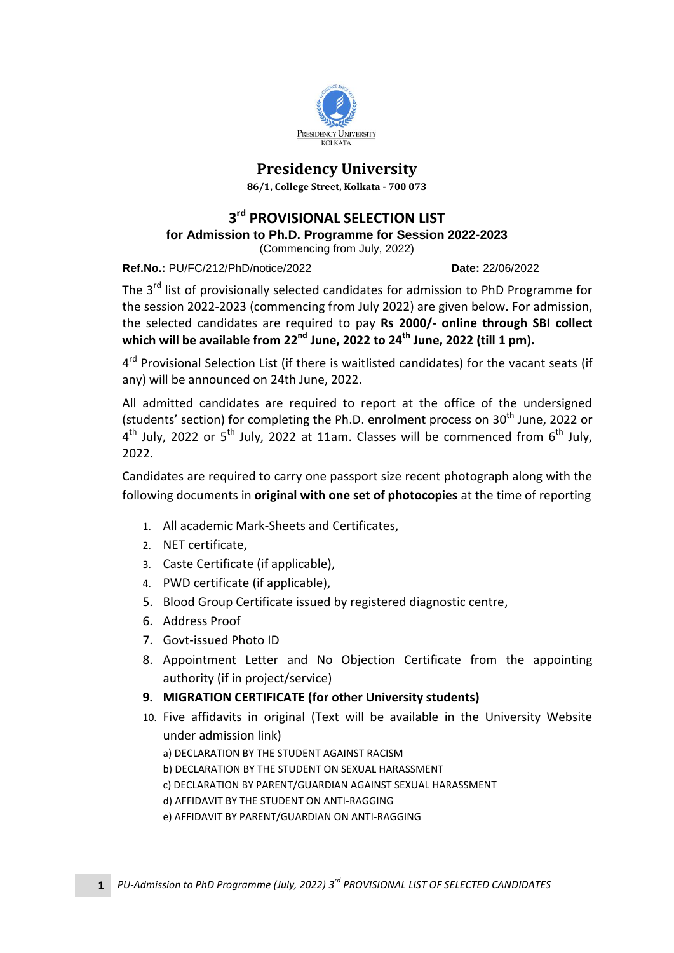

## **Presidency University**

**86/1, College Street, Kolkata - 700 073**

## **3 rd PROVISIONAL SELECTION LIST**

**for [Admission to Ph.D. Programme for Session 2022-2023](http://presiuniv.ac.in/web/phdnotice300120191.php)**

(Commencing [from July, 2022\)](http://presiuniv.ac.in/web/phdnotice300120191.php)

**Ref.No.:** PU/FC/212/PhD/notice/2022 **Date:** 22/06/2022

The 3<sup>rd</sup> list of provisionally selected candidates for admission to PhD Programme for the session 2022-2023 (commencing from July 2022) are given below. For admission, the selected candidates are required to pay **Rs 2000/- online through SBI collect which will be available from 22 nd June, 2022 to 24 th June, 2022 (till 1 pm).** 

4<sup>rd</sup> Provisional Selection List (if there is waitlisted candidates) for the vacant seats (if any) will be announced on 24th June, 2022.

All admitted candidates are required to report at the office of the undersigned (students' section) for completing the Ph.D. enrolment process on  $30<sup>th</sup>$  June, 2022 or  $4^{th}$  July, 2022 or 5<sup>th</sup> July, 2022 at 11am. Classes will be commenced from 6<sup>th</sup> July, 2022.

Candidates are required to carry one passport size recent photograph along with the following documents in **original with one set of photocopies** at the time of reporting

- 1. All academic Mark-Sheets and Certificates,
- 2. NET certificate,
- 3. Caste Certificate (if applicable),
- 4. PWD certificate (if applicable),
- 5. Blood Group Certificate issued by registered diagnostic centre,
- 6. Address Proof
- 7. Govt-issued Photo ID
- 8. Appointment Letter and No Objection Certificate from the appointing authority (if in project/service)
- **9. MIGRATION CERTIFICATE (for other University students)**
- 10. Five affidavits in original (Text will be available in the University Website under admission link)
	- a) DECLARATION BY THE STUDENT AGAINST RACISM
	- b) DECLARATION BY THE STUDENT ON SEXUAL HARASSMENT
	- c) DECLARATION BY PARENT/GUARDIAN AGAINST SEXUAL HARASSMENT
	- d) AFFIDAVIT BY THE STUDENT ON ANTI-RAGGING
	- e) AFFIDAVIT BY PARENT/GUARDIAN ON ANTI-RAGGING